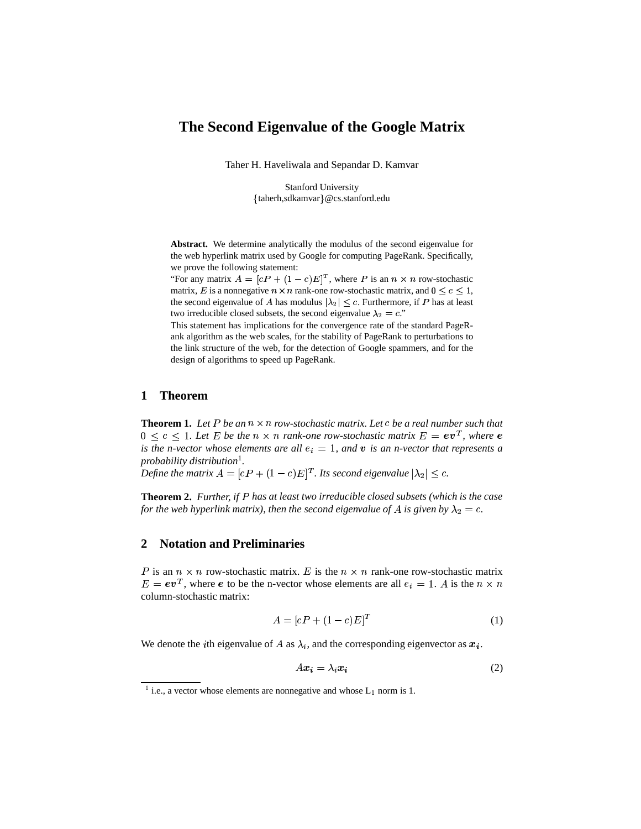# **The Second Eigenvalue of the Google Matrix**

Taher H. Haveliwala and Sepandar D. Kamvar

Stanford University taherh,sdkamvar @cs.stanford.edu

**Abstract.** We determine analytically the modulus of the second eigenvalue for the web hyperlink matrix used by Google for computing PageRank. Specifically, we prove the following statement:

"For any matrix  $A = [cP + (1 - c)E]^T$ , where P is an  $n \times n$  row-stochastic matrix, E is a nonnegative  $n \times n$  rank-one row-stochastic matrix, and  $0 \leq c \leq 1$ , the second eigenvalue of A has modulus  $|\lambda_2| \leq c$ . Furthermore, if P has at least two irreducible closed subsets, the second eigenvalue  $\lambda_2 = c$ ."

This statement has implications for the convergence rate of the standard PageRank algorithm as the web scales, for the stability of PageRank to perturbations to the link structure of the web, for the detection of Google spammers, and for the design of algorithms to speed up PageRank.

### **1 Theorem**

**Theorem 1.** Let P be an  $n \times n$  row-stochastic matrix. Let c be a real number such that  $0 \leq c \leq 1$ . Let E be the  $n \times n$  rank-one row-stochastic matrix  $E = \mathbf{e} \mathbf{v}^T$ , where  $\mathbf{e}$ *is* the *n*-vector whose elements are all  $e_i = 1$ , and  $v$  is an *n*-vector that represents a *probability distribution*<sup>1</sup> *.*

*Define the matrix*  $A = [cP + (1 - c)E]^T$ . Its second eigenvalue  $|\lambda_2| \leq c$ .

**Theorem 2.** *Further, if* <sup>+</sup> *has at least twoirreducible closed subsets (which is the case for the web hyperlink matrix), then the second eigenvalue of A is given by*  $\lambda_2 = c$ .

## **2 Notation and Preliminaries**

P is an  $n \times n$  row-stochastic matrix. E is the  $n \times n$  rank-one row-stochastic matrix  $E = e v<sup>T</sup>$ , where e to be the n-vector whose elements are all  $e_i = 1$ . A is the  $n \times n$ column-stochastic matrix:

$$
A = [cP + (1 - c)E]^T
$$
 (1)

We denote the *i*th eigenvalue of A as  $\lambda_i$ , and the corresponding eigenvector as  $x_i$ .

$$
Ax_i = \lambda_i x_i \tag{2}
$$

<sup>&</sup>lt;sup>1</sup> i.e., a vector whose elements are nonnegative and whose  $L_1$  norm is 1.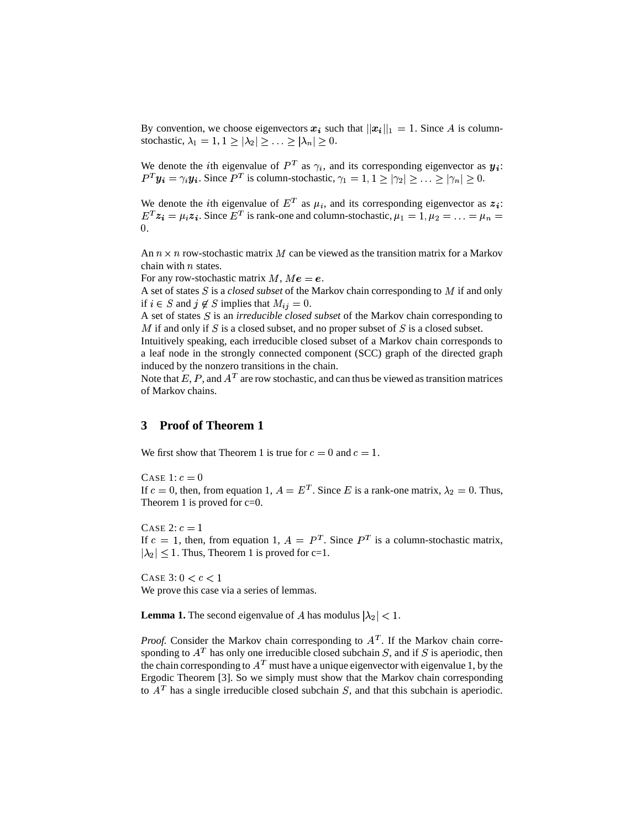By convention, we choose eigenvectors  $x_i$  such that  $||x_i||_1 = 1$ . Since A is columnstochastic,  $\lambda_1 = 1, 1 \ge |\lambda_2| \ge ... \ge |\lambda_n| \ge 0$ .

We denote the *i*th eigenvalue of  $P^T$  as  $\gamma_i$ , and its corresponding eigenvector as  $y_i$ :  $P^T y_i = \gamma_i y_i$ . Since  $P^T$  is column-stochastic,  $\gamma_1 = 1, 1 \ge |\gamma_2| \ge \ldots \ge |\gamma_n| \ge 0$ .

We denote the *i*th eigenvalue of  $E^T$  as  $\mu_i$ , and its corresponding eigenvector as  $z_i$ :  $E^T z_i = \mu_i z_i$ . Since  $E^T$  is rank-one and column-stochastic,  $\mu_1 = 1, \mu_2 = \ldots = \mu_n =$ 0.

An  $n \times n$  row-stochastic matrix M can be viewed as the transition matrix for a Markov chain with  $n$  states.

For any row-stochastic matrix  $M$ ,  $Me = e$ .

A set of states  $S$  is a *closed subset* of the Markov chain corresponding to  $M$  if and only if  $i \in S$  and  $j \notin S$  implies that  $M_{ij} = 0$ .

A set of states S is an *irreducible closed subset* of the Markov chain corresponding to M if and only if S is a closed subset, and no proper subset of S is a closed subset.

Intuitively speaking, each irreducible closed subset of a Markov chain corresponds to a leaf node in the strongly connected component (SCC) graph of the directed graph induced by the nonzero transitions in the chain.

Note that E, P, and  $A<sup>T</sup>$  are row stochastic, and can thus be viewed as transition matrices of Markov chains.

## **3 Proof of Theorem 1**

We first show that Theorem 1 is true for  $c = 0$  and  $c = 1$ .

CASE 1:  $c = 0$ If  $c = 0$ , then, from equation 1,  $A = E<sup>T</sup>$ . Since E is a rank-one matrix,  $\lambda_2 = 0$ . Thus, Theorem 1 is proved for  $c=0$ .

CASE 2:  $c = 1$ If  $c = 1$ , then, from equation 1,  $A = P<sup>T</sup>$ . Since  $P<sup>T</sup>$  is a column-stochastic matrix,  $|\lambda_2| \leq 1$ . Thus, Theorem 1 is proved for c=1.

CASE  $3: 0 < c < 1$ We prove this case via a series of lemmas.

**Lemma 1.** The second eigenvalue of A has modulus  $|\lambda_2| < 1$ .

*Proof.* Consider the Markov chain corresponding to  $A<sup>T</sup>$ . If the Markov chain corresponding to  $A<sup>T</sup>$  has only one irreducible closed subchain S, and if S is aperiodic, then the chain corresponding to  $A<sup>T</sup>$  must have a unique eigenvector with eigenvalue 1, by the Ergodic Theorem [3]. So we simply must show that the Markov chain corresponding to  $A<sup>T</sup>$  has a single irreducible closed subchain  $S$ , and that this subchain is aperiodic.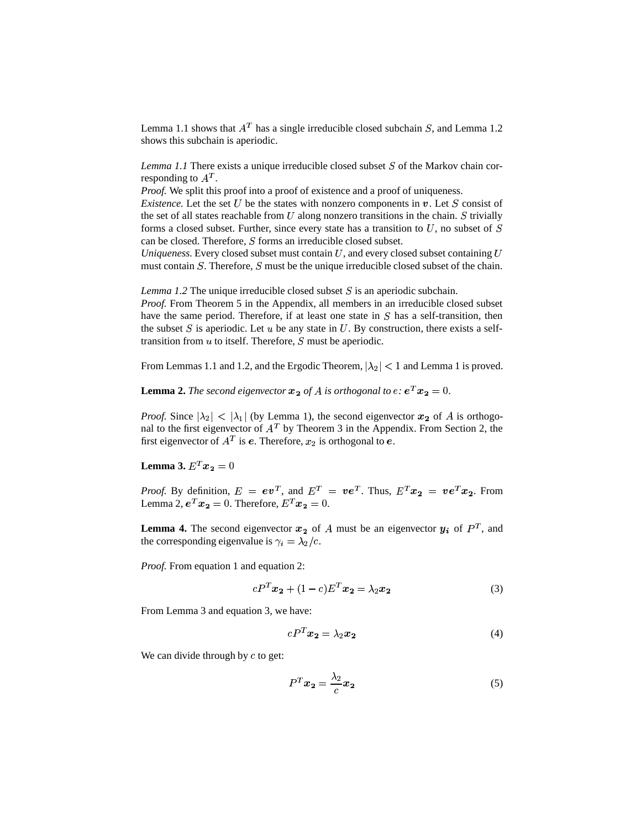Lemma 1.1 shows that  $A<sup>T</sup>$  has a single irreducible closed subchain S, and Lemma 1.2 shows this subchain is aperiodic.

*Lemma 1.1* There exists a unique irreducible closed subset  $S$  of the Markov chain corresponding to  $A^T$ .

*Proof.* We split this proof into a proof of existence and a proof of uniqueness. *Existence.* Let the set U be the states with nonzero components in  $v$ . Let S consist of the set of all states reachable from U along nonzero transitions in the chain.  $S$  trivially forms a closed subset. Further, since every state has a transition to  $U$ , no subset of  $S$ 

can be closed. Therefore,  $S$  forms an irreducible closed subset. *Uniqueness.* Every closed subset must contain  $U$ , and every closed subset containing  $U$ must contain  $S$ . Therefore,  $S$  must be the unique irreducible closed subset of the chain.

*Lemma* 1.2 The unique irreducible closed subset  $S$  is an aperiodic subchain.

*Proof.* From Theorem 5 in the Appendix, all members in an irreducible closed subset have the same period. Therefore, if at least one state in  $S$  has a self-transition, then the subset  $S$  is aperiodic. Let  $u$  be any state in  $U$ . By construction, there exists a selftransition from  $u$  to itself. Therefore,  $S$  must be aperiodic.

From Lemmas 1.1 and 1.2, and the Ergodic Theorem,  $|\lambda_2| < 1$  and Lemma 1 is proved.

**Lemma 2.** The second eigenvector  $x_2$  of A is orthogonal to  $e$ :  $e^T x_2 = 0$ .

*Proof.* Since  $|\lambda_2| < |\lambda_1|$  (by Lemma 1), the second eigenvector  $x_2$  of A is orthogonal to the first eigenvector of  $A<sup>T</sup>$  by Theorem 3 in the Appendix. From Section 2, the first eigenvector of  $A<sup>T</sup>$  is  $e$ . Therefore,  $x_2$  is orthogonal to  $e$ .

**Lemma 3.**  $E^{T}x_2 = 0$  $\sim$  100  $\sim$  100  $\sim$  100  $\sim$  100  $\sim$  100  $\sim$  100  $\sim$  100  $\sim$  100  $\sim$  100  $\sim$  100  $\sim$  100  $\sim$  100  $\sim$  100  $\sim$  100  $\sim$  100  $\sim$  100  $\sim$  100  $\sim$  100  $\sim$  100  $\sim$  100  $\sim$  100  $\sim$  100  $\sim$  100  $\sim$  100  $\sim$ 

*Proof.* By definition,  $E = ev^T$ , and  $E^T = ve^T$ . Thus,  $E^T x_2 = ve^T x_2$ . From Lemma 2,  $e^T x_2 = 0$ . Therefore,  $E^T x_2 = 0$ .

**Lemma 4.** The second eigenvector  $x_2$  of A must be an eigenvector  $y_i$  of  $P<sup>T</sup>$ , and the corresponding eigenvalue is  $\gamma_i = \lambda_2/c$ .

*Proof.* From equation 1 and equation 2:

$$
cP^{T}x_{2} + (1 - c)E^{T}x_{2} = \lambda_{2}x_{2}
$$
 (3)

From Lemma 3 and equation 3, we have:

$$
cP^T x_2 = \lambda_2 x_2 \tag{4}
$$

We can divide through by  $c$  to get:

$$
P^T x_2 = \frac{\lambda_2}{c} x_2 \tag{5}
$$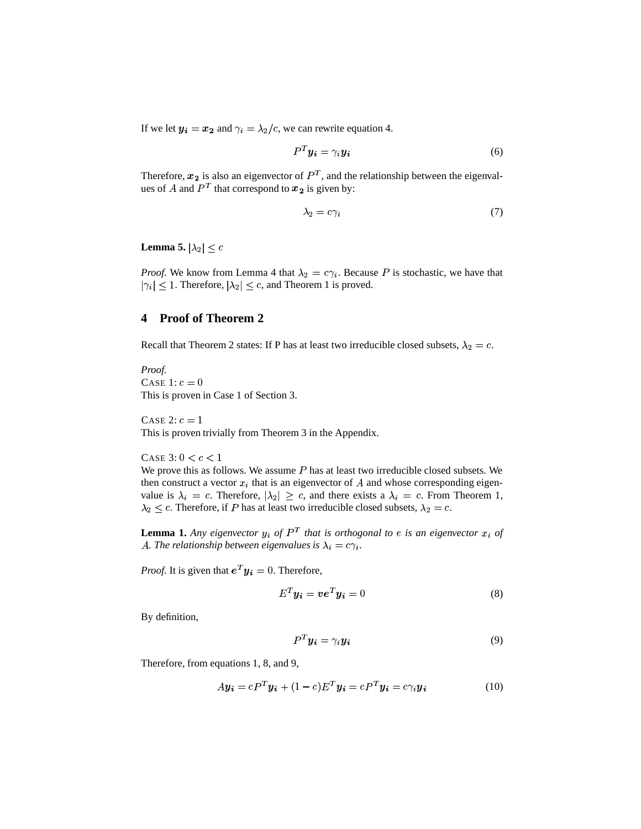If we let  $y_i = x_2$  and  $\gamma_i = \lambda_2/c$ , we can rewrite equation 4.

$$
P^T y_i = \gamma_i y_i \tag{6}
$$

Therefore,  $x_2$  is also an eigenvector of  $P<sup>T</sup>$ , and the relationship between the eigenvalues of A and  $P<sup>T</sup>$  that correspond to  $x_2$  is given by:

$$
\lambda_2 = c\gamma_i \tag{7}
$$

**Lemma 5.**  $|\lambda_2| \leq c$ 

*Proof.* We know from Lemma 4 that  $\lambda_2 = c\gamma_i$ . Because P is stochastic, we have that  $|\gamma_i| \leq 1$ . Therefore,  $|\lambda_2| \leq c$ , and Theorem 1 is proved.

## **4 Proof of Theorem 2**

Recall that Theorem 2 states: If P has at least two irreducible closed subsets,  $\lambda_2 = c$ .

*Proof.* CASE 1:  $c = 0$ This is proven in Case 1 of Section 3.

CASE 2:  $c = 1$ This is proven trivially from Theorem 3 in the Appendix.

CASE  $3: 0 < c < 1$ 

We prove this as follows. We assume  $P$  has at least two irreducible closed subsets. We then construct a vector  $x_i$  that is an eigenvector of A and whose corresponding eigenvalue is  $\lambda_i = c$ . Therefore,  $|\lambda_2| \geq c$ , and there exists a  $\lambda_i = c$ . From Theorem 1,  $\lambda_2 \leq c$ . Therefore, if P has at least two irreducible closed subsets,  $\lambda_2 = c$ .

**Lemma 1.** Any eigenvector  $y_i$  of  $P^T$  that is orthogonal to e is an eigenvector  $x_i$  of A. The relationship between eigenvalues is  $\lambda_i = c \gamma_i$ .

*Proof.* It is given that  $e^T y_i = 0$ . Therefore,

$$
E^T y_i = v e^T y_i = 0 \tag{8}
$$

By definition,

$$
P^T y_i = \gamma_i y_i \tag{9}
$$

Therefore, from equations 1, 8, and 9,

$$
A\mathbf{y_i} = cP^T\mathbf{y_i} + (1 - c)E^T\mathbf{y_i} = cP^T\mathbf{y_i} = c\gamma_i\mathbf{y_i}
$$
(10)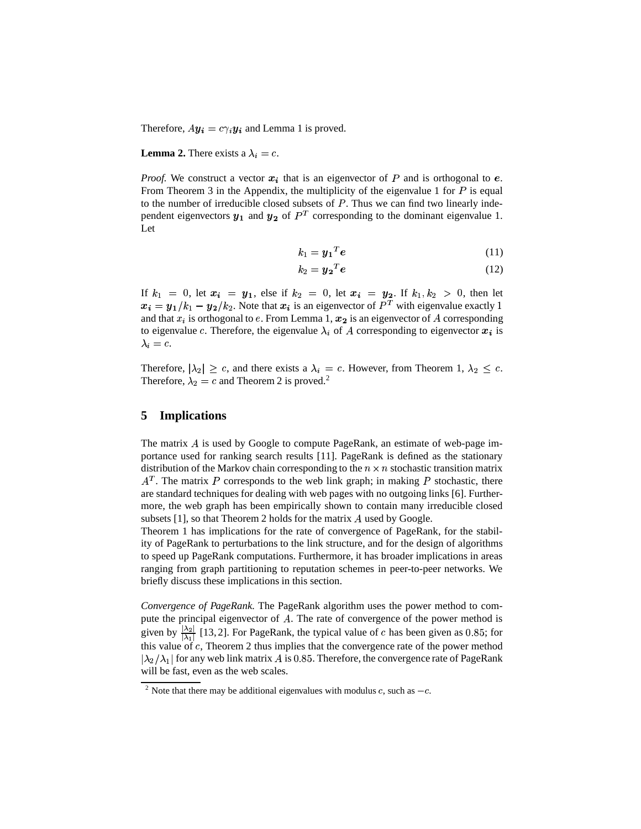Therefore,  $Ay_i = c\gamma_i y_i$  and Lemma 1 is proved.

#### **Lemma 2.** There exists a  $\lambda_i = c$ .

*Proof.* We construct a vector  $x_i$  that is an eigenvector of  $P$  and is orthogonal to  $e$ . From Theorem 3 in the Appendix, the multiplicity of the eigenvalue 1 for  $P$  is equal to the number of irreducible closed subsets of  $P$ . Thus we can find two linearly independent eigenvectors  $y_1$  and  $y_2$  of  $P<sup>T</sup>$  corresponding to the dominant eigenvalue 1. Let

$$
k_1 = y_1^T e \tag{11}
$$

$$
k_2 = \mathbf{y_2}^T \mathbf{e} \tag{12}
$$

If  $k_1 = 0$ , let  $x_i = y_1$ , else if  $k_2 = 0$ , let  $x_i = y_2$ . If  $k_1, k_2 > 0$ , then let  $x_i = y_1/k_1 - y_2/k_2$ . Note that  $x_i$  is an eigenvector of  $P<sup>T</sup>$  with eigenvalue exactly 1 and that  $x_i$  is orthogonal to e. From Lemma 1,  $x_2$  is an eigenvector of A corresponding to eigenvalue c. Therefore, the eigenvalue  $\lambda_i$  of A corresponding to eigenvector  $x_i$  is  $\lambda_i = c$ .

Therefore,  $|\lambda_2| \geq c$ , and there exists a  $\lambda_i = c$ . However, from Theorem 1,  $\lambda_2 \leq c$ . Therefore,  $\lambda_2 = c$  and Theorem 2 is proved.<sup>2</sup>

### **5 Implications**

The matrix  $A$  is used by Google to compute PageRank, an estimate of web-page importance used for ranking search results [11]. PageRank is defined as the stationary distribution of the Markov chain corresponding to the  $n \times n$  stochastic transition matrix  $A<sup>T</sup>$ . The matrix P corresponds to the web link graph; in making P stochastic, there are standard techniques for dealing with web pages with no outgoing links [6]. Furthermore, the web graph has been empirically shown to contain many irreducible closed subsets  $[1]$ , so that Theorem 2 holds for the matrix A used by Google.

Theorem 1 has implications for the rate of convergence of PageRank, for the stability of PageRank to perturbations to the link structure, and for the design of algorithms to speed up PageRank computations. Furthermore, it has broader implications in areas ranging from graph partitioning to reputation schemes in peer-to-peer networks. We briefly discuss these implications in this section.

*Convergence of PageRank.* The PageRank algorithm uses the power method to compute the principal eigenvector of  $A$ . The rate of convergence of the power method is given by  $\frac{|\lambda_2|}{|\lambda_1|}$  [13, 2]. For PageRank, the typical value of c has been given as 0.85; for this value of c, Theorem 2 thus implies that the convergence rate of the power method  $|\lambda_2/\lambda_1|$  for any web link matrix A is 0.85. Therefore, the convergence rate of PageRank will be fast, even as the web scales.

<sup>&</sup>lt;sup>2</sup> Note that there may be additional eigenvalues with modulus c, such as  $-c$ .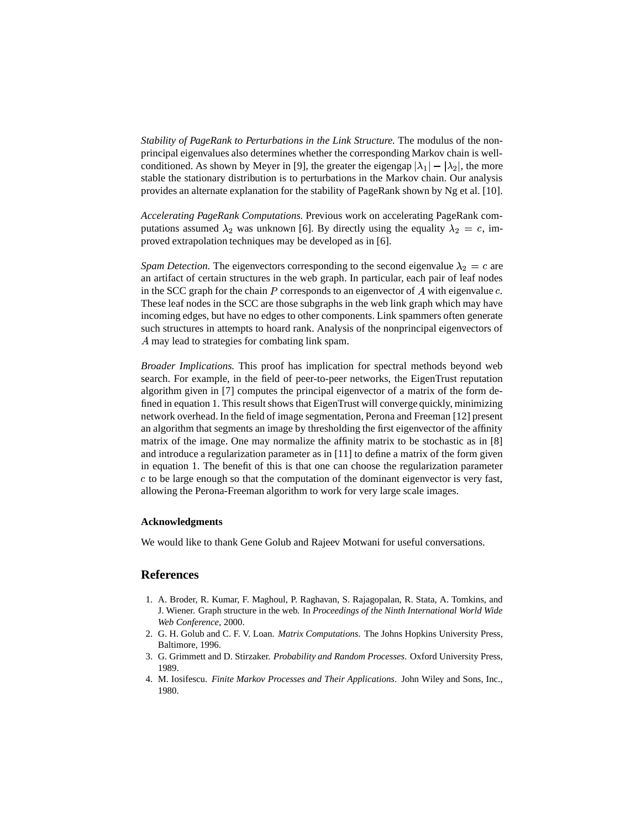*Stability of PageRank to Perturbations in the Link Structure.* The modulus of the nonprincipal eigenvalues also determines whether the corresponding Markov chain is wellconditioned. As shown by Meyer in [9], the greater the eigengap  $|\lambda_1| - |\lambda_2|$ , the more stable the stationary distribution is to perturbations in the Markov chain. Our analysis provides an alternate explanation for the stability of PageRank shown by Ng et al. [10].

*Accelerating PageRank Computations.* Previous work on accelerating PageRank computations assumed  $\lambda_2$  was unknown [6]. By directly using the equality  $\lambda_2 = c$ , improved extrapolation techniques may be developed as in [6].

*Spam Detection.* The eigenvectors corresponding to the second eigenvalue  $\lambda_2 = c$  are an artifact of certain structures in the web graph. In particular, each pair of leaf nodes in the SCC graph for the chain  $P$  corresponds to an eigenvector of  $A$  with eigenvalue  $c$ . These leaf nodes in the SCC are those subgraphs in the web link graph which may have incoming edges, but have no edges to other components. Link spammers often generate such structures in attempts to hoard rank. Analysis of the nonprincipal eigenvectors of A may lead to strategies for combating link spam.

*Broader Implications.* This proof has implication for spectral methods beyond web search. For example, in the field of peer-to-peer networks, the EigenTrust reputation algorithm given in [7] computes the principal eigenvector of a matrix of the form defined in equation 1. This result shows that EigenTrust will converge quickly, minimizing network overhead. In the field of image segmentation, Perona and Freeman [12] present an algorithm that segments an image by thresholding the first eigenvector of the affinity matrix of the image. One may normalize the affinity matrix to be stochastic as in [8] and introduce a regularization parameter as in [11] to define a matrix of the form given in equation 1. The benefit of this is that one can choose the regularization parameter  $c$  to be large enough so that the computation of the dominant eigenvector is very fast, allowing the Perona-Freeman algorithm to work for very large scale images.

#### **Acknowledgments**

We would like to thank Gene Golub and Rajeev Motwani for useful conversations.

### **References**

- 1. A. Broder, R. Kumar, F. Maghoul, P. Raghavan, S. Rajagopalan, R. Stata, A. Tomkins, and J. Wiener. Graph structure in the web. In *Proceedings of the Ninth International World Wide Web Conference*, 2000.
- 2. G. H. Golub and C. F. V. Loan. *Matrix Computations*. The Johns Hopkins University Press, Baltimore, 1996.
- 3. G. Grimmett and D. Stirzaker. *Probability and Random Processes*. Oxford University Press, 1989.
- 4. M. Iosifescu. *Finite Markov Processes and Their Applications*. John Wiley and Sons, Inc., 1980.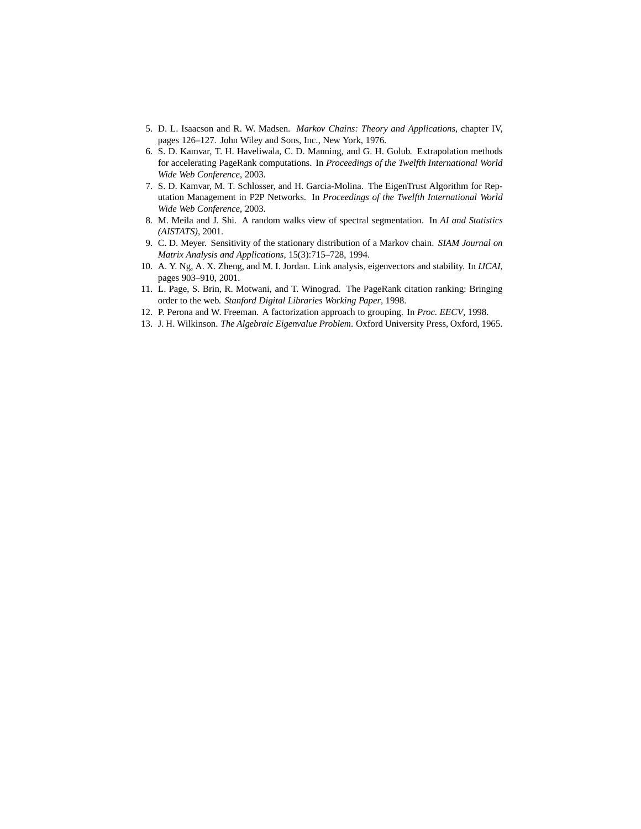- 5. D. L. Isaacson and R. W. Madsen. *Markov Chains: Theory and Applications*, chapter IV, pages 126–127. John Wiley and Sons, Inc., New York, 1976.
- 6. S. D. Kamvar, T. H. Haveliwala, C. D. Manning, and G. H. Golub. Extrapolation methods for accelerating PageRank computations. In *Proceedings of the Twelfth International World Wide Web Conference*, 2003.
- 7. S. D. Kamvar, M. T. Schlosser, and H. Garcia-Molina. The EigenTrust Algorithm for Reputation Management in P2P Networks. In *Proceedings of the Twelfth International World Wide Web Conference*, 2003.
- 8. M. Meila and J. Shi. A random walks view of spectral segmentation. In *AI and Statistics (AISTATS)*, 2001.
- 9. C. D. Meyer. Sensitivity of the stationary distribution of a Markov chain. *SIAM Journal on Matrix Analysis and Applications*, 15(3):715–728, 1994.
- 10. A. Y. Ng, A. X. Zheng, and M. I. Jordan. Link analysis, eigenvectors and stability. In *IJCAI*, pages 903–910, 2001.
- 11. L. Page, S. Brin, R. Motwani, and T. Winograd. The PageRank citation ranking: Bringing order to the web. *Stanford Digital Libraries Working Paper*, 1998.
- 12. P. Perona and W. Freeman. A factorization approach to grouping. In *Proc. EECV*, 1998.
- 13. J. H. Wilkinson. *The Algebraic Eigenvalue Problem*. Oxford University Press, Oxford, 1965.